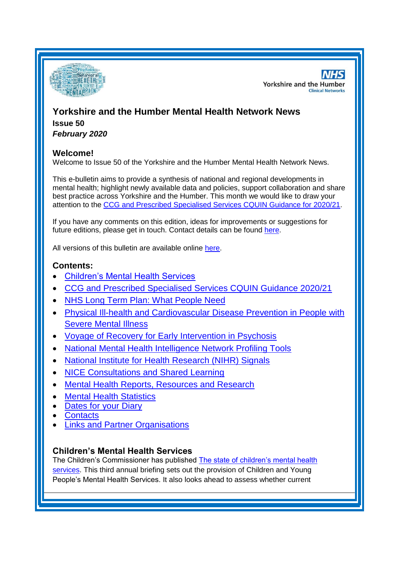

**NHS Yorkshire and the Humber Clinical Networks** 

# **Yorkshire and the Humber Mental Health Network News Issue 50** *February 2020*

# **Welcome!**

Welcome to Issue 50 of the Yorkshire and the Humber Mental Health Network News.

This e-bulletin aims to provide a synthesis of national and regional developments in mental health; highlight newly available data and policies, support collaboration and share best practice across Yorkshire and the Humber. This month we would like to draw your attention to the [CCG and Prescribed Specialised Services CQUIN Guidance for 2020/21.](#page-1-0)

If you have any comments on this edition, ideas for improvements or suggestions for future editions, please get in touch. Contact details can be found [here.](#page-6-0)

All versions of this bulletin are available online [here.](http://www.yhscn.nhs.uk/mental-health-clinic/mental-health-network/MH-documents-and-links.php)

# **Contents:**

- [Children's Mental Health Services](#page-0-0)
- [CCG and Prescribed Specialised Services CQUIN Guidance 2020/21](#page-1-0)
- [NHS Long Term Plan: What People Need](#page-1-0)
- [Physical Ill-health and Cardiovascular Disease Prevention in People with](#page-1-1)  [Severe Mental Illness](#page-1-1)
- [Voyage of Recovery for Early Intervention in Psychosis](#page-1-2)
- [National Mental Health Intelligence Network Profiling Tools](#page-0-1)
- [National Institute for Health Research \(NIHR\) Signals](#page-2-0)
- [NICE Consultations and Shared Learning](#page-2-0)
- [Mental Health Reports, Resources and Research](#page-2-1)
- **[Mental Health Statistics](#page-5-0)**
- [Dates for your Diary](#page-5-1)
- **[Contacts](#page-6-0)**
- [Links and Partner Organisations](#page-7-0)

# <span id="page-0-1"></span><span id="page-0-0"></span>**Children's Mental Health Services**

The Children's Commissioner has published [The state of children's mental health](https://www.childrenscommissioner.gov.uk/publication/the-state-of-childrens-mental-health-services/)  [services.](https://www.childrenscommissioner.gov.uk/publication/the-state-of-childrens-mental-health-services/) This third annual briefing sets out the provision of Children and Young People's Mental Health Services. It also looks ahead to assess whether current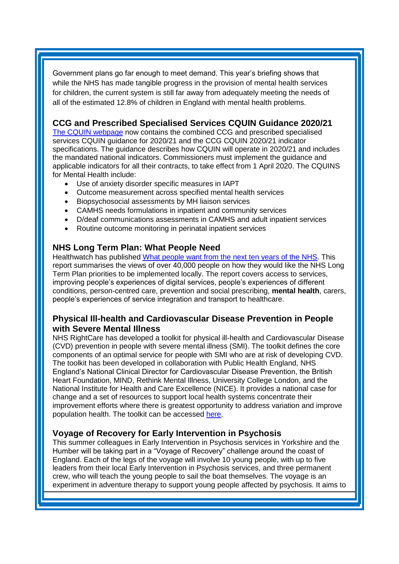Government plans go far enough to meet demand. This year's briefing shows that while the NHS has made tangible progress in the provision of mental health services for children, the current system is still far away from adequately meeting the needs of all of the estimated 12.8% of children in England with mental health problems.

# <span id="page-1-0"></span>**CCG and Prescribed Specialised Services CQUIN Guidance 2020/21**

[The CQUIN webpage](https://www.england.nhs.uk/nhs-standard-contract/cquin/) now contains the combined CCG and prescribed specialised services CQUIN guidance for 2020/21 and the CCG CQUIN 2020/21 indicator specifications. The guidance describes how CQUIN will operate in 2020/21 and includes the mandated national indicators. Commissioners must implement the guidance and applicable indicators for all their contracts, to take effect from 1 April 2020. The CQUINS for Mental Health include:

- Use of anxiety disorder specific measures in IAPT
- Outcome measurement across specified mental health services
- Biopsychosocial assessments by MH liaison services
- CAMHS needs formulations in inpatient and community services
- D/deaf communications assessments in CAMHS and adult inpatient services
- Routine outcome monitoring in perinatal inpatient services

#### **NHS Long Term Plan: What People Need**

Healthwatch has published [What people want from the next ten years of the NHS.](https://www.healthwatch.co.uk/report/2020-01-29/what-people-want-next-ten-years-nhs) This report summarises the views of over 40,000 people on how they would like the NHS Long Term Plan priorities to be implemented locally. The report covers access to services, improving people's experiences of digital services, people's experiences of different conditions, person-centred care, prevention and social prescribing, **mental health**, carers, people's experiences of service integration and transport to healthcare.

### <span id="page-1-1"></span>**Physical Ill-health and Cardiovascular Disease Prevention in People with Severe Mental Illness**

NHS RightCare has developed a toolkit for physical ill-health and Cardiovascular Disease (CVD) prevention in people with severe mental illness (SMI). The toolkit defines the core components of an optimal service for people with SMI who are at risk of developing CVD. The toolkit has been developed in collaboration with Public Health England, NHS England's National Clinical Director for Cardiovascular Disease Prevention, the British Heart Foundation, MIND, Rethink Mental Illness, University College London, and the National Institute for Health and Care Excellence (NICE). It provides a national case for change and a set of resources to support local health systems concentrate their improvement efforts where there is greatest opportunity to address variation and improve population health. The toolkit can be accessed [here.](https://www.england.nhs.uk/rightcare/wp-content/uploads/sites/40/2019/03/nhs-rightcare-toolkit-cvd-prevention.pdf)

#### <span id="page-1-2"></span>**Voyage of Recovery for Early Intervention in Psychosis**

This summer colleagues in Early Intervention in Psychosis services in Yorkshire and the Humber will be taking part in a "Voyage of Recovery" challenge around the coast of England. Each of the legs of the voyage will involve 10 young people, with up to five leaders from their local Early Intervention in Psychosis services, and three permanent crew, who will teach the young people to sail the boat themselves. The voyage is an experiment in adventure therapy to support young people affected by psychosis. It aims to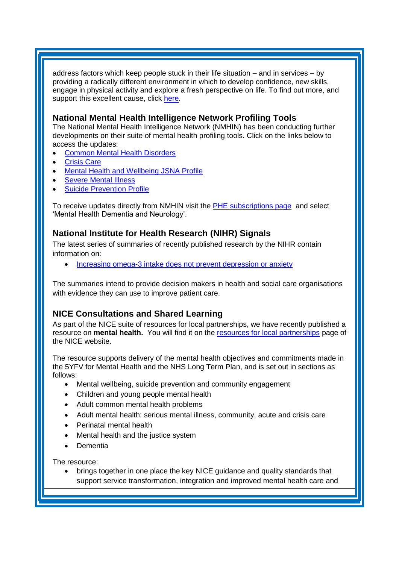address factors which keep people stuck in their life situation – and in services – by providing a radically different environment in which to develop confidence, new skills, engage in physical activity and explore a fresh perspective on life. To find out more, and support this excellent cause, click [here.](https://www.justgiving.com/crowdfunding/stephen-mcgowan-2)

### **National Mental Health Intelligence Network Profiling Tools**

The National Mental Health Intelligence Network (NMHIN) has been conducting further developments on their suite of mental health profiling tools. Click on the links below to access the updates:

- [Common Mental Health Disorders](http://links.govdelivery.com/track?type=click&enid=ZWFzPTEmbXNpZD0mYXVpZD0mbWFpbGluZ2lkPTIwMTcxMjA1LjgxOTE2MDgxJm1lc3NhZ2VpZD1NREItUFJELUJVTC0yMDE3MTIwNS44MTkxNjA4MSZkYXRhYmFzZWlkPTEwMDEmc2VyaWFsPTE2OTcwMTE4JmVtYWlsaWQ9c2FyYWguYm91bEBuaHMubmV0JnVzZXJpZD1zYXJhaC5ib3VsQG5ocy5uZXQmdGFyZ2V0aWQ9JmZsPSZleHRyYT1NdWx0aXZhcmlhdGVJZD0mJiY=&&&104&&&https://fingertips.phe.org.uk/profile-group/mental-health/profile/common-mental-disorders)
- [Crisis Care](http://links.govdelivery.com/track?type=click&enid=ZWFzPTEmbXNpZD0mYXVpZD0mbWFpbGluZ2lkPTIwMTcxMjA1LjgxOTE2MDgxJm1lc3NhZ2VpZD1NREItUFJELUJVTC0yMDE3MTIwNS44MTkxNjA4MSZkYXRhYmFzZWlkPTEwMDEmc2VyaWFsPTE2OTcwMTE4JmVtYWlsaWQ9c2FyYWguYm91bEBuaHMubmV0JnVzZXJpZD1zYXJhaC5ib3VsQG5ocy5uZXQmdGFyZ2V0aWQ9JmZsPSZleHRyYT1NdWx0aXZhcmlhdGVJZD0mJiY=&&&105&&&https://fingertips.phe.org.uk/profile-group/mental-health/profile/crisis-care)
- [Mental Health and Wellbeing JSNA Profile](http://links.govdelivery.com/track?type=click&enid=ZWFzPTEmbXNpZD0mYXVpZD0mbWFpbGluZ2lkPTIwMTcxMjA1LjgxOTE2MDgxJm1lc3NhZ2VpZD1NREItUFJELUJVTC0yMDE3MTIwNS44MTkxNjA4MSZkYXRhYmFzZWlkPTEwMDEmc2VyaWFsPTE2OTcwMTE4JmVtYWlsaWQ9c2FyYWguYm91bEBuaHMubmV0JnVzZXJpZD1zYXJhaC5ib3VsQG5ocy5uZXQmdGFyZ2V0aWQ9JmZsPSZleHRyYT1NdWx0aXZhcmlhdGVJZD0mJiY=&&&106&&&https://fingertips.phe.org.uk/profile-group/mental-health/profile/mh-jsna)
- [Severe Mental](http://links.govdelivery.com/track?type=click&enid=ZWFzPTEmbXNpZD0mYXVpZD0mbWFpbGluZ2lkPTIwMTcxMjA1LjgxOTE2MDgxJm1lc3NhZ2VpZD1NREItUFJELUJVTC0yMDE3MTIwNS44MTkxNjA4MSZkYXRhYmFzZWlkPTEwMDEmc2VyaWFsPTE2OTcwMTE4JmVtYWlsaWQ9c2FyYWguYm91bEBuaHMubmV0JnVzZXJpZD1zYXJhaC5ib3VsQG5ocy5uZXQmdGFyZ2V0aWQ9JmZsPSZleHRyYT1NdWx0aXZhcmlhdGVJZD0mJiY=&&&108&&&https://fingertips.phe.org.uk/profile-group/mental-health/profile/severe-mental-illness) Illness
- **[Suicide Prevention Profile](http://links.govdelivery.com/track?type=click&enid=ZWFzPTEmbXNpZD0mYXVpZD0mbWFpbGluZ2lkPTIwMTgwNjA1LjkwNzEwNzExJm1lc3NhZ2VpZD1NREItUFJELUJVTC0yMDE4MDYwNS45MDcxMDcxMSZkYXRhYmFzZWlkPTEwMDEmc2VyaWFsPTE3MDEzODU4JmVtYWlsaWQ9c2FyYWguYm91bEBuaHMubmV0JnVzZXJpZD1zYXJhaC5ib3VsQG5ocy5uZXQmdGFyZ2V0aWQ9JmZsPSZleHRyYT1NdWx0aXZhcmlhdGVJZD0mJiY=&&&104&&&https://fingertips.phe.org.uk/profile-group/mental-health/profile/suicide)**

To receive updates directly from NMHIN visit the **PHE subscriptions page** and select 'Mental Health Dementia and Neurology'.

### <span id="page-2-1"></span><span id="page-2-0"></span>**National Institute for Health Research (NIHR) Signals**

The latest series of summaries of recently published research by the NIHR contain information on:

• [Increasing omega-3 intake does not prevent depression or anxiety](https://discover.dc.nihr.ac.uk/content/signal-000877/increasing-omega-3-intake-does-not-prevent-depression-or-anxiety)

The summaries intend to provide decision makers in health and social care organisations with evidence they can use to improve patient care.

# **NICE Consultations and Shared Learning**

As part of the NICE suite of resources for local partnerships, we have recently published a resource on **mental health.** You will find it on the [resources for local partnerships](https://www.nice.org.uk/about/what-we-do/sustainability-and-transformation/resources-for-local-partnerships) page of the NICE website.

The resource supports delivery of the mental health objectives and commitments made in the 5YFV for Mental Health and the NHS Long Term Plan, and is set out in sections as follows:

- Mental wellbeing, suicide prevention and community engagement
- Children and young people mental health
- Adult common mental health problems
- Adult mental health: serious mental illness, community, acute and crisis care
- Perinatal mental health
- Mental health and the justice system
- Dementia

The resource:

• brings together in one place the key NICE guidance and quality standards that support service transformation, integration and improved mental health care and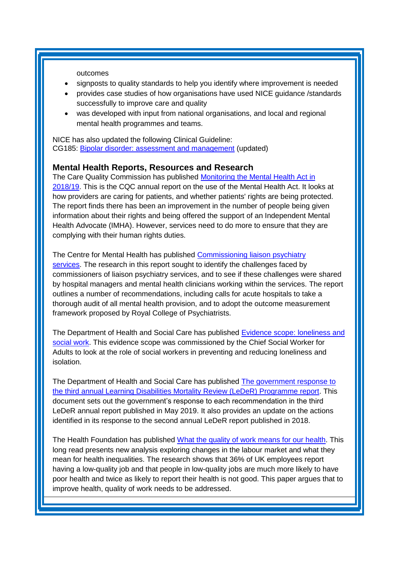outcomes

- signposts to quality standards to help you identify where improvement is needed
- provides case studies of how organisations have used NICE guidance /standards successfully to improve care and quality
- was developed with input from national organisations, and local and regional mental health programmes and teams.

NICE has also updated the following Clinical Guideline: CG185: [Bipolar disorder: assessment and management](https://www.nice.org.uk/guidance/cg185) (updated)

#### **Mental Health Reports, Resources and Research**

The Care Quality Commission has published Monitoring the Mental Health Act in [2018/19.](https://www.cqc.org.uk/publications/major-report/monitoring-mental-health-act-201819) This is the CQC annual report on the use of the Mental Health Act. It looks at how providers are caring for patients, and whether patients' rights are being protected. The report finds there has been an improvement in the number of people being given information about their rights and being offered the support of an Independent Mental Health Advocate (IMHA). However, services need to do more to ensure that they are complying with their human rights duties.

The Centre for Mental Health has published [Commissioning liaison psychiatry](https://www.centreformentalhealth.org.uk/commissioning-liaison-psychiatry-services)  [services.](https://www.centreformentalhealth.org.uk/commissioning-liaison-psychiatry-services) The research in this report sought to identify the challenges faced by commissioners of liaison psychiatry services, and to see if these challenges were shared by hospital managers and mental health clinicians working within the services. The report outlines a number of recommendations, including calls for acute hospitals to take a thorough audit of all mental health provision, and to adopt the outcome measurement framework proposed by Royal College of Psychiatrists.

The Department of Health and Social Care has published **Evidence scope: loneliness and** [social work.](https://www.gov.uk/government/publications/evidence-scope-loneliness-and-social-work) This evidence scope was commissioned by the Chief Social Worker for Adults to look at the role of social workers in preventing and reducing loneliness and isolation.

The Department of Health and Social Care has published [The government response to](https://www.gov.uk/government/publications/leder-third-annual-programme-report-government-response)  [the third annual Learning Disabilities Mortality Review \(LeDeR\) Programme report.](https://www.gov.uk/government/publications/leder-third-annual-programme-report-government-response) This document sets out the government's response to each recommendation in the third LeDeR annual report published in May 2019. It also provides an update on the actions identified in its response to the second annual LeDeR report published in 2018.

The Health Foundation has published What the quality [of work means for our health.](https://www.health.org.uk/the-quality-of-work-and-what-it-means-for-health) This long read presents new analysis exploring changes in the labour market and what they mean for health inequalities. The research shows that 36% of UK employees report having a low-quality job and that people in low-quality jobs are much more likely to have poor health and twice as likely to report their health is not good. This paper argues that to improve health, quality of work needs to be addressed.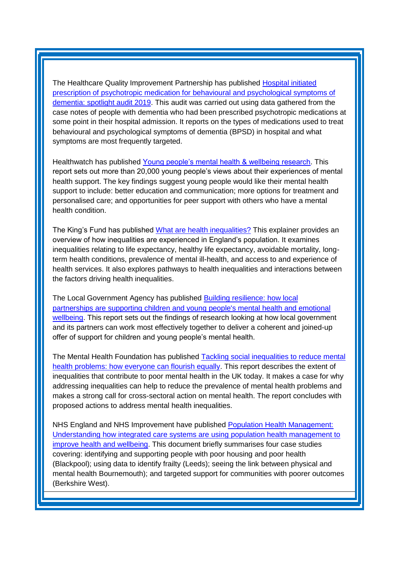The Healthcare Quality Improvement Partnership has published Hospital initiated [prescription of psychotropic medication for behavioural and psychological symptoms of](https://www.hqip.org.uk/resource/national-audit-of-dementia-spotlight-report-on-psychotropic-medication/#.XkUkvE_7RaQ)  [dementia: spotlight audit 2019.](https://www.hqip.org.uk/resource/national-audit-of-dementia-spotlight-report-on-psychotropic-medication/#.XkUkvE_7RaQ) This audit was carried out using data gathered from the case notes of people with dementia who had been prescribed psychotropic medications at some point in their hospital admission. It reports on the types of medications used to treat behavioural and psychological symptoms of dementia (BPSD) in hospital and what symptoms are most frequently targeted.

Healthwatch has published [Young people's mental health & wellbeing research.](https://www.healthwatch.co.uk/report/2020-02-05/young-peoples-mental-health-and-wellbeing-research) This report sets out more than 20,000 young people's views about their experiences of mental health support. The key findings suggest young people would like their mental health support to include: better education and communication; more options for treatment and personalised care; and opportunities for peer support with others who have a mental health condition.

The King's Fund has published [What are health inequalities?](https://www.kingsfund.org.uk/publications/what-are-health-inequalities) This explainer provides an overview of how inequalities are experienced in England's population. It examines inequalities relating to life expectancy, healthy life expectancy, avoidable mortality, longterm health conditions, prevalence of mental ill-health, and access to and experience of health services. It also explores pathways to health inequalities and interactions between the factors driving health inequalities.

The Local Government Agency has published [Building resilience: how local](https://www.local.gov.uk/building-resilience-how-local-partnerships-are-supporting-children-and-young-peoples-mental-health)  [partnerships are supporting children and young people's mental health and emotional](https://www.local.gov.uk/building-resilience-how-local-partnerships-are-supporting-children-and-young-peoples-mental-health)  [wellbeing.](https://www.local.gov.uk/building-resilience-how-local-partnerships-are-supporting-children-and-young-peoples-mental-health) This report sets out the findings of research looking at how local government and its partners can work most effectively together to deliver a coherent and joined-up offer of support for children and young people's mental health.

The Mental Health Foundation has published [Tackling social inequalities to reduce mental](https://www.mentalhealth.org.uk/publications/tackling-social-inequalities-reduce-mental-health-problems)  [health problems: how everyone can flourish equally.](https://www.mentalhealth.org.uk/publications/tackling-social-inequalities-reduce-mental-health-problems) This report describes the extent of inequalities that contribute to poor mental health in the UK today. It makes a case for why addressing inequalities can help to reduce the prevalence of mental health problems and makes a strong call for cross-sectoral action on mental health. The report concludes with proposed actions to address mental health inequalities.

NHS England and NHS Improvement have published [Population Health Management:](https://www.england.nhs.uk/publication/phm-understanding-how-integrated-care-systems-are-using-population-health-management-to-improve-health-and-wellbeing/)  Understanding how integrated [care systems are using population health management to](https://www.england.nhs.uk/publication/phm-understanding-how-integrated-care-systems-are-using-population-health-management-to-improve-health-and-wellbeing/)  [improve health and wellbeing.](https://www.england.nhs.uk/publication/phm-understanding-how-integrated-care-systems-are-using-population-health-management-to-improve-health-and-wellbeing/) This document briefly summarises four case studies covering: identifying and supporting people with poor housing and poor health (Blackpool); using data to identify frailty (Leeds); seeing the link between physical and mental health Bournemouth); and targeted support for communities with poorer outcomes (Berkshire West).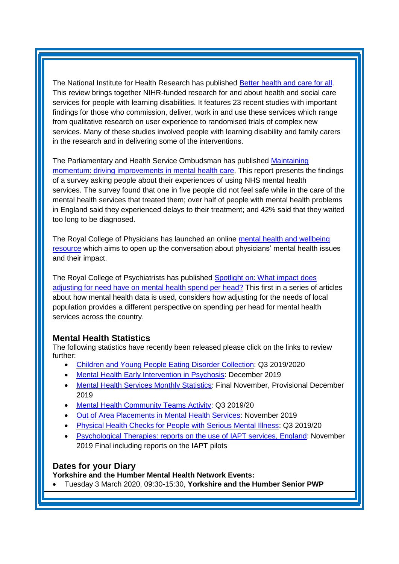The National Institute for Health Research has published Better health [and care for all.](https://discover.dc.nihr.ac.uk/content/themedreview-04326/better-health-and-care-for-all) This review brings together NIHR-funded research for and about health and social care services for people with learning disabilities. It features 23 recent studies with important findings for those who commission, deliver, work in and use these services which range from qualitative research on user experience to randomised trials of complex new services. Many of these studies involved people with learning disability and family carers in the research and in delivering some of the interventions.

The Parliamentary and Health Service Ombudsman has published [Maintaining](https://www.ombudsman.org.uk/mental-health)  [momentum: driving improvements in mental health care.](https://www.ombudsman.org.uk/mental-health) This report presents the findings of a survey asking people about their experiences of using NHS mental health services. The survey found that one in five people did not feel safe while in the care of the mental health services that treated them; over half of people with mental health problems in England said they experienced delays to their treatment; and 42% said that they waited too long to be diagnosed.

The Royal College of Physicians has launched an online [mental health and wellbeing](https://www.rcplondon.ac.uk/node/6316)  [resource](https://www.rcplondon.ac.uk/node/6316) which aims to open up the conversation about physicians' mental health issues and their impact.

The Royal College of Psychiatrists has published [Spotlight on: What impact does](https://mentalhealthwatch.rcpsych.ac.uk/docs/default-source/default-document-library/mental-health-watch---spotlight-on-spend-per-head.pdf)  [adjusting for need have on mental health spend per head?](https://mentalhealthwatch.rcpsych.ac.uk/docs/default-source/default-document-library/mental-health-watch---spotlight-on-spend-per-head.pdf) This first in a series of articles about how mental health data is used, considers how adjusting for the needs of local population provides a different perspective on spending per head for mental health services across the country.

# <span id="page-5-0"></span>**Mental Health Statistics**

The following statistics have recently been released please click on the links to review further:

- <span id="page-5-1"></span>• [Children and Young People Eating Disorder Collection:](https://www.gov.uk/government/statistics/children-and-young-people-eating-disorder-collection-q3-20192020) Q3 2019/2020
- [Mental Health Early Intervention in Psychosis:](https://www.gov.uk/government/statistics/mental-health-early-intervention-in-psychosis-for-december-2019) December 2019
- [Mental Health Services Monthly Statistics:](https://digital.nhs.uk/data-and-information/publications/statistical/mental-health-services-monthly-statistics/final-november-provisional-december-2019) Final November, Provisional December 2019
- [Mental Health Community Teams Activity:](https://www.gov.uk/government/statistics/mental-health-community-teams-activity-q3-201920) Q3 2019/20
- Out [of Area Placements in Mental Health Services:](https://digital.nhs.uk/data-and-information/publications/statistical/out-of-area-placements-in-mental-health-services/november-2019) November 2019
- [Physical Health Checks for People with Serious Mental Illness:](https://www.gov.uk/government/statistics/physical-health-checks-for-people-with-serious-mental-illness-q3-201920) Q3 2019/20
- [Psychological Therapies: reports on the use of IAPT services, England:](https://digital.nhs.uk/data-and-information/publications/statistical/psychological-therapies-report-on-the-use-of-iapt-services/november-2019-final-including-reports-on-the-iapt-pilots) November 2019 Final including reports on the IAPT pilots

# **Dates for your Diary**

**Yorkshire and the Humber Mental Health Network Events:**

• Tuesday 3 March 2020, 09:30-15:30, **Yorkshire and the Humber Senior PWP**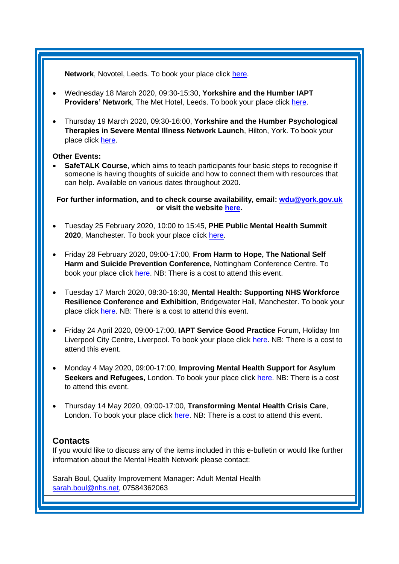**Network**, Novotel, Leeds. To book your place click [here.](https://www.eventbrite.co.uk/e/yorkshire-and-the-humber-senior-pwp-network-tickets-87219595157)

- Wednesday 18 March 2020, 09:30-15:30, **Yorkshire and the Humber IAPT Providers' Network**, The Met Hotel, Leeds. To book your place click [here.](https://www.eventbrite.co.uk/e/yorkshire-and-the-humber-iapt-providers-network-tickets-87227139723)
- Thursday 19 March 2020, 09:30-16:00, **Yorkshire and the Humber Psychological Therapies in Severe Mental Illness Network Launch**, Hilton, York. To book your place click [here.](https://www.eventbrite.co.uk/e/psychological-therapies-for-severe-mental-illness-network-development-event-tickets-91601495539)

#### **Other Events:**

**SafeTALK Course**, which aims to teach participants four basic steps to recognise if someone is having thoughts of suicide and how to connect them with resources that can help. Available on various dates throughout 2020.

**For further information, and to check course availability, email: [wdu@york.gov.uk](mailto:wdu@york.gov.uk) or visit the website [here.](http://www.yorkworkforcedevelopment.org.uk/)**

- Tuesday 25 February 2020, 10:00 to 15:45, **PHE Public Mental Health Summit 2020**, Manchester. To book your place click [here.](https://www.phe-events.org.uk/hpa/frontend/reg/thome.csp?pageID=377038&eventID=867&msID=10750&pd=102885&CSPCHD=003001000000HPccL25QW2QABU8dxxsQ0$8AqpJdWQcaodjkL4)
- Friday 28 February 2020, 09:00-17:00, **From Harm to Hope, The National Self Harm and Suicide Prevention Conference,** Nottingham Conference Centre. To book your place click [here.](http://www.harmless.org.uk/store/index.php?route=product/product&product_id=143) NB: There is a cost to attend this event.
- Tuesday 17 March 2020, 08:30-16:30, **Mental Health: Supporting NHS Workforce Resilience Conference and Exhibition**, Bridgewater Hall, Manchester. To book your place click [here.](https://www.openforumevents.co.uk/events/2020/mental-health-supporting-nhs-workforce-resilience-conference-exhibition/#book?utm_source=OFE+S3+MHWF2020+WC+16.12.2019+4+NHS&utm_medium=email&utm_campaign=OFE+S3+MHWF2020+WC+16.12.2019) NB: There is a cost to attend this event.
- Friday 24 April 2020, 09:00-17:00, **IAPT Service Good Practice** Forum, Holiday Inn Liverpool City Centre, Liverpool. To book your place click [here.](https://nnfevents.co.uk/1SB0-6OH7B-MCTTTA-3WNUV4-1/c.aspx) NB: There is a cost to attend this event.
- Monday 4 May 2020, 09:00-17:00, **Improving Mental Health Support for Asylum Seekers and Refugees,** London. To book your place click [here.](https://www.healthcareconferencesuk.co.uk/conferences-masterclasses/improving-mental-health-support-for-asylum-seekers-and-refugees?utm_medium=email&utm_source=HCUKKT%20&utm_campaign=Refugee%200520) NB: There is a cost to attend this event.
- Thursday 14 May 2020, 09:00-17:00, **Transforming Mental Health Crisis Care**, London. To book your place click [here.](https://www.sbk-healthcare.co.uk/Booking/Index/2459?utm_source=SBK%20Healthcare&utm_medium=email&utm_campaign=11305554_2042MH%202nd%20email) NB: There is a cost to attend this event.

#### <span id="page-6-0"></span>**Contacts**

If you would like to discuss any of the items included in this e-bulletin or would like further information about the Mental Health Network please contact:

Sarah Boul, Quality Improvement Manager: Adult Mental Health [sarah.boul@nhs.net,](mailto:sarah.boul@nhs.net) 07584362063